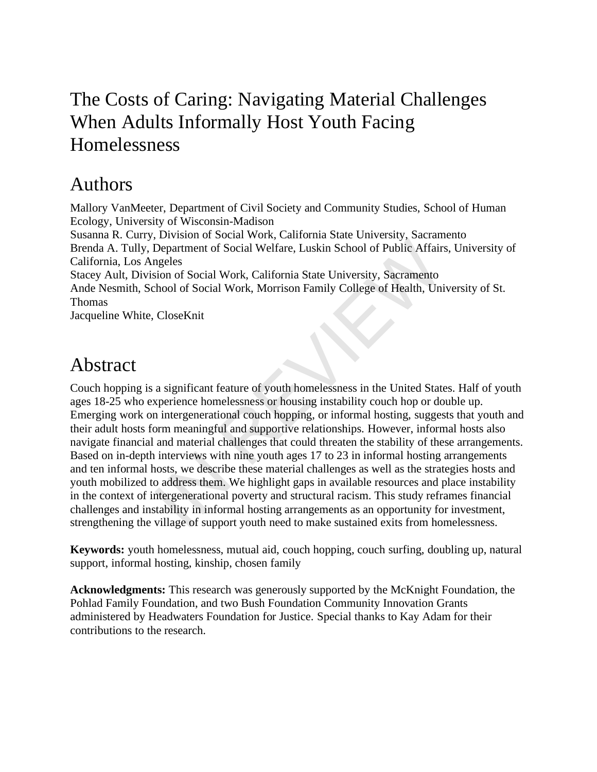# The Costs of Caring: Navigating Material Challenges When Adults Informally Host Youth Facing **Homelessness**

# Authors

Mallory VanMeeter, Department of Civil Society and Community Studies, School of Human Ecology, University of Wisconsin-Madison Susanna R. Curry, Division of Social Work, California State University, Sacramento Brenda A. Tully, Department of Social Welfare, Luskin School of Public Affairs, University of California, Los Angeles Stacey Ault, Division of Social Work, California State University, Sacramento Ande Nesmith, School of Social Work, Morrison Family College of Health, University of St. Thomas Jacqueline White, CloseKnit

# Abstract

Couch hopping is a significant feature of youth homelessness in the United States. Half of youth ages 18-25 who experience homelessness or housing instability couch hop or double up. Emerging work on intergenerational couch hopping, or informal hosting, suggests that youth and their adult hosts form meaningful and supportive relationships. However, informal hosts also navigate financial and material challenges that could threaten the stability of these arrangements. Based on in-depth interviews with nine youth ages 17 to 23 in informal hosting arrangements and ten informal hosts, we describe these material challenges as well as the strategies hosts and youth mobilized to address them. We highlight gaps in available resources and place instability in the context of intergenerational poverty and structural racism. This study reframes financial challenges and instability in informal hosting arrangements as an opportunity for investment, strengthening the village of support youth need to make sustained exits from homelessness. Department of Social Welfare, Luskin School of Public Affair<br>Department of Social Work, California State University, Sacramento<br>hool of Social Work, California State University, Sacramento<br>hool of Social Work, Morrison Fam

**Keywords:** youth homelessness, mutual aid, couch hopping, couch surfing, doubling up, natural support, informal hosting, kinship, chosen family

**Acknowledgments:** This research was generously supported by the McKnight Foundation, the Pohlad Family Foundation, and two Bush Foundation Community Innovation Grants administered by Headwaters Foundation for Justice. Special thanks to Kay Adam for their contributions to the research.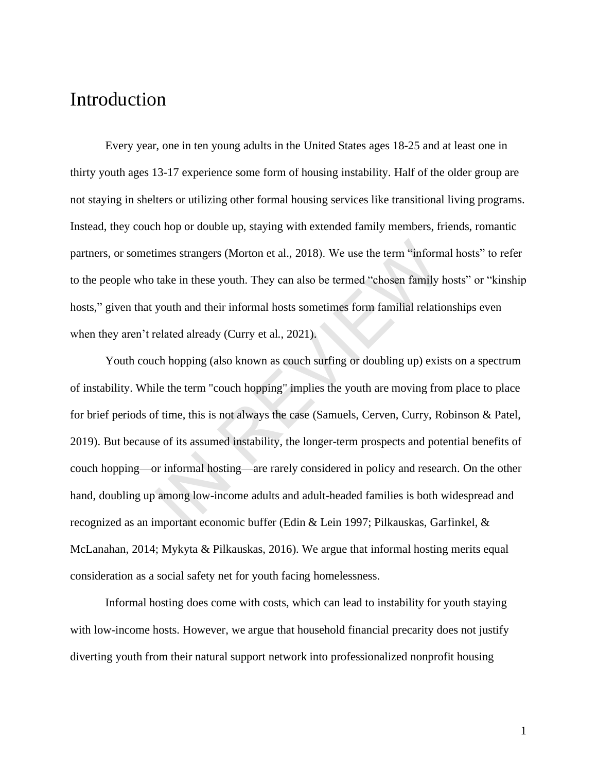# Introduction

Every year, one in ten young adults in the United States ages 18-25 and at least one in thirty youth ages 13-17 experience some form of housing instability. Half of the older group are not staying in shelters or utilizing other formal housing services like transitional living programs. Instead, they couch hop or double up, staying with extended family members, friends, romantic partners, or sometimes strangers (Morton et al., 2018). We use the term "informal hosts" to refer to the people who take in these youth. They can also be termed "chosen family hosts" or "kinship hosts," given that youth and their informal hosts sometimes form familial relationships even when they aren't related already (Curry et al., 2021).

Youth couch hopping (also known as couch surfing or doubling up) exists on a spectrum of instability. While the term "couch hopping" implies the youth are moving from place to place for brief periods of time, this is not always the case (Samuels, Cerven, Curry, Robinson & Patel, 2019). But because of its assumed instability, the longer-term prospects and potential benefits of couch hopping—or informal hosting—are rarely considered in policy and research. On the other hand, doubling up among low-income adults and adult-headed families is both widespread and recognized as an important economic buffer (Edin & Lein 1997; Pilkauskas, Garfinkel, & McLanahan, 2014; Mykyta & Pilkauskas, 2016). We argue that informal hosting merits equal consideration as a social safety net for youth facing homelessness. imes strangers (Morton et al., 2018). We use the term "inform<br>take in these youth. They can also be termed "chosen family l<br>youth and their informal hosts sometimes form familial relatic<br>clated already (Curry et al., 2021)

Informal hosting does come with costs, which can lead to instability for youth staying with low-income hosts. However, we argue that household financial precarity does not justify diverting youth from their natural support network into professionalized nonprofit housing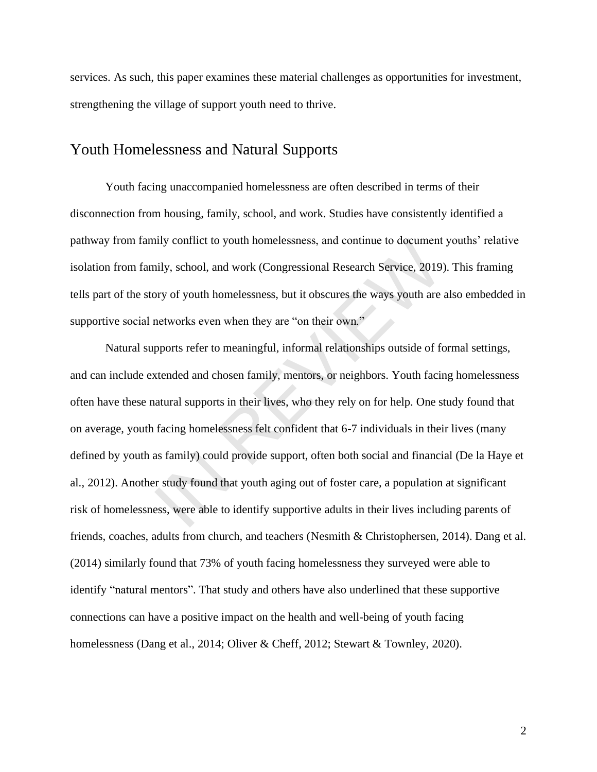services. As such, this paper examines these material challenges as opportunities for investment, strengthening the village of support youth need to thrive.

#### Youth Homelessness and Natural Supports

Youth facing unaccompanied homelessness are often described in terms of their disconnection from housing, family, school, and work. Studies have consistently identified a pathway from family conflict to youth homelessness, and continue to document youths' relative isolation from family, school, and work (Congressional Research Service, 2019). This framing tells part of the story of youth homelessness, but it obscures the ways youth are also embedded in supportive social networks even when they are "on their own."

Natural supports refer to meaningful, informal relationships outside of formal settings, and can include extended and chosen family, mentors, or neighbors. Youth facing homelessness often have these natural supports in their lives, who they rely on for help. One study found that on average, youth facing homelessness felt confident that 6-7 individuals in their lives (many defined by youth as family) could provide support, often both social and financial (De la Haye et al., 2012). Another study found that youth aging out of foster care, a population at significant risk of homelessness, were able to identify supportive adults in their lives including parents of friends, coaches, adults from church, and teachers (Nesmith & Christophersen, 2014). Dang et al. (2014) similarly found that 73% of youth facing homelessness they surveyed were able to identify "natural mentors". That study and others have also underlined that these supportive connections can have a positive impact on the health and well-being of youth facing homelessness (Dang et al., 2014; Oliver & Cheff, 2012; Stewart & Townley, 2020). nily conflict to youth homelessness, and continue to document<br>illy, school, and work (Congressional Research Service, 2019)<br>ory of youth homelessness, but it obscures the ways youth are<br>networks even when they are "on thei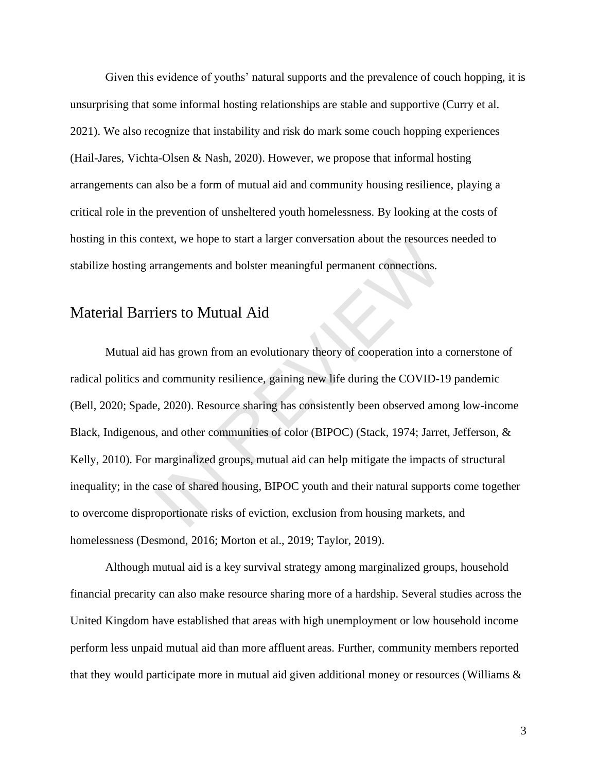Given this evidence of youths' natural supports and the prevalence of couch hopping, it is unsurprising that some informal hosting relationships are stable and supportive (Curry et al. 2021). We also recognize that instability and risk do mark some couch hopping experiences (Hail-Jares, Vichta-Olsen & Nash, 2020). However, we propose that informal hosting arrangements can also be a form of mutual aid and community housing resilience, playing a critical role in the prevention of unsheltered youth homelessness. By looking at the costs of hosting in this context, we hope to start a larger conversation about the resources needed to stabilize hosting arrangements and bolster meaningful permanent connections.

### Material Barriers to Mutual Aid

Mutual aid has grown from an evolutionary theory of cooperation into a cornerstone of radical politics and community resilience, gaining new life during the COVID-19 pandemic (Bell, 2020; Spade, 2020). Resource sharing has consistently been observed among low-income Black, Indigenous, and other communities of color (BIPOC) (Stack, 1974; Jarret, Jefferson, & Kelly, 2010). For marginalized groups, mutual aid can help mitigate the impacts of structural inequality; in the case of shared housing, BIPOC youth and their natural supports come together to overcome disproportionate risks of eviction, exclusion from housing markets, and homelessness (Desmond, 2016; Morton et al., 2019; Taylor, 2019). thext, we nope to start a larger conversation about the resource<br>rrangements and bolster meaningful permanent connections.<br>iers to Mutual Aid<br>has grown from an evolutionary theory of cooperation into a<br>d community resilien

Although mutual aid is a key survival strategy among marginalized groups, household financial precarity can also make resource sharing more of a hardship. Several studies across the United Kingdom have established that areas with high unemployment or low household income perform less unpaid mutual aid than more affluent areas. Further, community members reported that they would participate more in mutual aid given additional money or resources (Williams &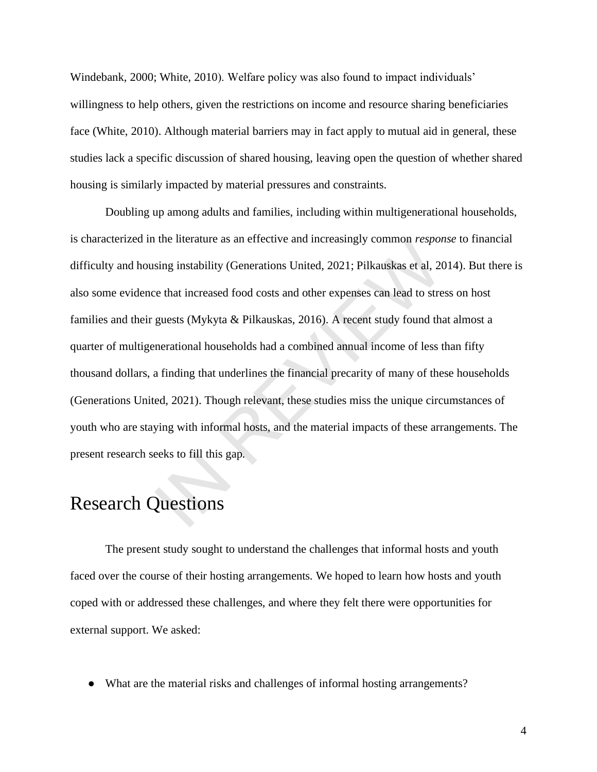Windebank, 2000; White, 2010). Welfare policy was also found to impact individuals' willingness to help others, given the restrictions on income and resource sharing beneficiaries face (White, 2010). Although material barriers may in fact apply to mutual aid in general, these studies lack a specific discussion of shared housing, leaving open the question of whether shared housing is similarly impacted by material pressures and constraints.

Doubling up among adults and families, including within multigenerational households, is characterized in the literature as an effective and increasingly common *response* to financial difficulty and housing instability (Generations United, 2021; Pilkauskas et al, 2014). But there is also some evidence that increased food costs and other expenses can lead to stress on host families and their guests (Mykyta & Pilkauskas, 2016). A recent study found that almost a quarter of multigenerational households had a combined annual income of less than fifty thousand dollars, a finding that underlines the financial precarity of many of these households (Generations United, 2021). Though relevant, these studies miss the unique circumstances of youth who are staying with informal hosts, and the material impacts of these arrangements. The present research seeks to fill this gap. the interature as an effective and increasingly common *respor*<br>sing instability (Generations United, 2021; Pilkauskas et al, 20<br>ce that increased food costs and other expenses can lead to stre<br>guests (Mykyta & Pilkauskas,

# Research Questions

The present study sought to understand the challenges that informal hosts and youth faced over the course of their hosting arrangements. We hoped to learn how hosts and youth coped with or addressed these challenges, and where they felt there were opportunities for external support. We asked:

● What are the material risks and challenges of informal hosting arrangements?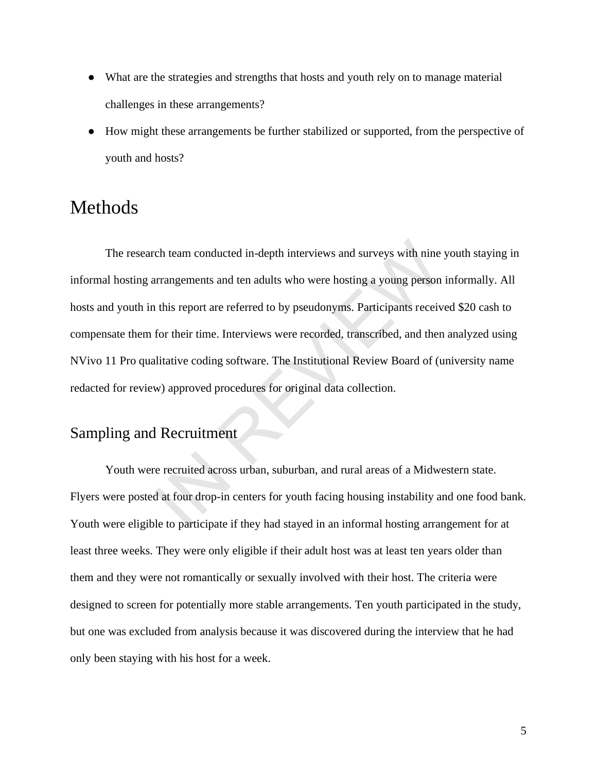- What are the strategies and strengths that hosts and youth rely on to manage material challenges in these arrangements?
- How might these arrangements be further stabilized or supported, from the perspective of youth and hosts?

# Methods

The research team conducted in-depth interviews and surveys with nine youth staying in informal hosting arrangements and ten adults who were hosting a young person informally. All hosts and youth in this report are referred to by pseudonyms. Participants received \$20 cash to compensate them for their time. Interviews were recorded, transcribed, and then analyzed using NVivo 11 Pro qualitative coding software. The Institutional Review Board of (university name redacted for review) approved procedures for original data collection. ch team conducted in-depth interviews and surveys with nine<br>urrangements and ten adults who were hosting a young person<br>this report are referred to by pseudonyms. Participants receiv<br>for their time. Interviews were recorde

### Sampling and Recruitment

Youth were recruited across urban, suburban, and rural areas of a Midwestern state. Flyers were posted at four drop-in centers for youth facing housing instability and one food bank. Youth were eligible to participate if they had stayed in an informal hosting arrangement for at least three weeks. They were only eligible if their adult host was at least ten years older than them and they were not romantically or sexually involved with their host. The criteria were designed to screen for potentially more stable arrangements. Ten youth participated in the study, but one was excluded from analysis because it was discovered during the interview that he had only been staying with his host for a week.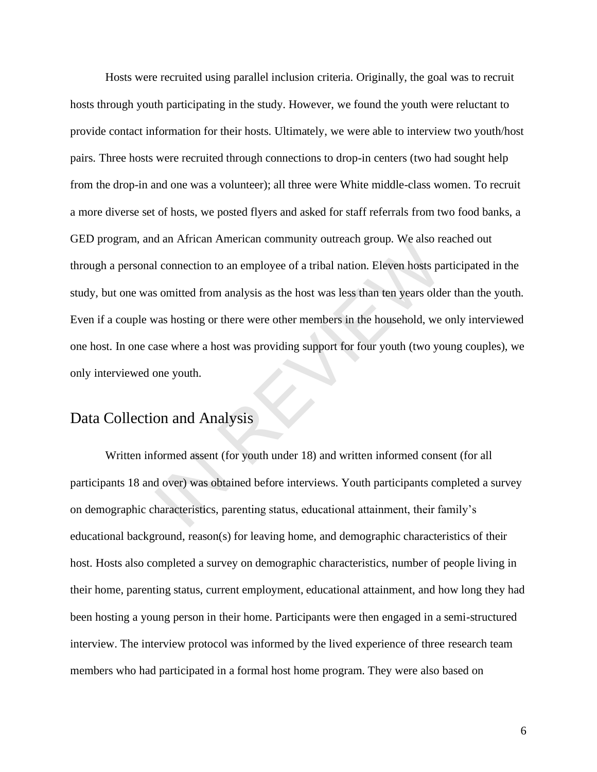Hosts were recruited using parallel inclusion criteria. Originally, the goal was to recruit hosts through youth participating in the study. However, we found the youth were reluctant to provide contact information for their hosts. Ultimately, we were able to interview two youth/host pairs. Three hosts were recruited through connections to drop-in centers (two had sought help from the drop-in and one was a volunteer); all three were White middle-class women. To recruit a more diverse set of hosts, we posted flyers and asked for staff referrals from two food banks, a GED program, and an African American community outreach group. We also reached out through a personal connection to an employee of a tribal nation. Eleven hosts participated in the study, but one was omitted from analysis as the host was less than ten years older than the youth. Even if a couple was hosting or there were other members in the household, we only interviewed one host. In one case where a host was providing support for four youth (two young couples), we only interviewed one youth. I connection to an employee of a tribal nation. Eleven hosts parameters of l connection to an employee of a tribal nation. Eleven hosts parameters of l connection to an employee of a tribal nation. Eleven hosts parameters

### Data Collection and Analysis

Written informed assent (for youth under 18) and written informed consent (for all participants 18 and over) was obtained before interviews. Youth participants completed a survey on demographic characteristics, parenting status, educational attainment, their family's educational background, reason(s) for leaving home, and demographic characteristics of their host. Hosts also completed a survey on demographic characteristics, number of people living in their home, parenting status, current employment, educational attainment, and how long they had been hosting a young person in their home. Participants were then engaged in a semi-structured interview. The interview protocol was informed by the lived experience of three research team members who had participated in a formal host home program. They were also based on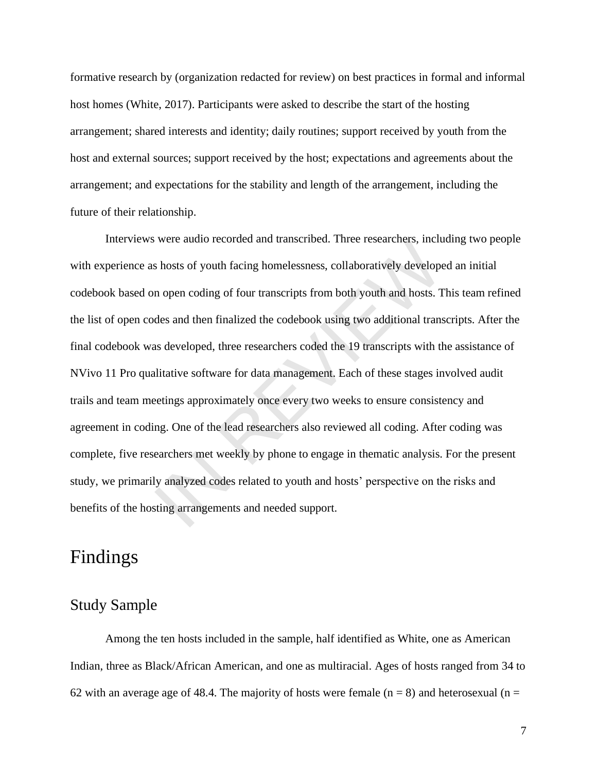formative research by (organization redacted for review) on best practices in formal and informal host homes (White, 2017). Participants were asked to describe the start of the hosting arrangement; shared interests and identity; daily routines; support received by youth from the host and external sources; support received by the host; expectations and agreements about the arrangement; and expectations for the stability and length of the arrangement, including the future of their relationship.

Interviews were audio recorded and transcribed. Three researchers, including two people with experience as hosts of youth facing homelessness, collaboratively developed an initial codebook based on open coding of four transcripts from both youth and hosts. This team refined the list of open codes and then finalized the codebook using two additional transcripts. After the final codebook was developed, three researchers coded the 19 transcripts with the assistance of NVivo 11 Pro qualitative software for data management. Each of these stages involved audit trails and team meetings approximately once every two weeks to ensure consistency and agreement in coding. One of the lead researchers also reviewed all coding. After coding was complete, five researchers met weekly by phone to engage in thematic analysis. For the present study, we primarily analyzed codes related to youth and hosts' perspective on the risks and benefits of the hosting arrangements and needed support. were audio recorded and transcribed. I firee researchers, include this bosts of youth facing homelessness, collaboratively develope in open coding of four transcripts from both youth and hosts. These and then finalized the

## Findings

#### Study Sample

Among the ten hosts included in the sample, half identified as White, one as American Indian, three as Black/African American, and one as multiracial. Ages of hosts ranged from 34 to 62 with an average age of 48.4. The majority of hosts were female  $(n = 8)$  and heterosexual  $(n = 1)$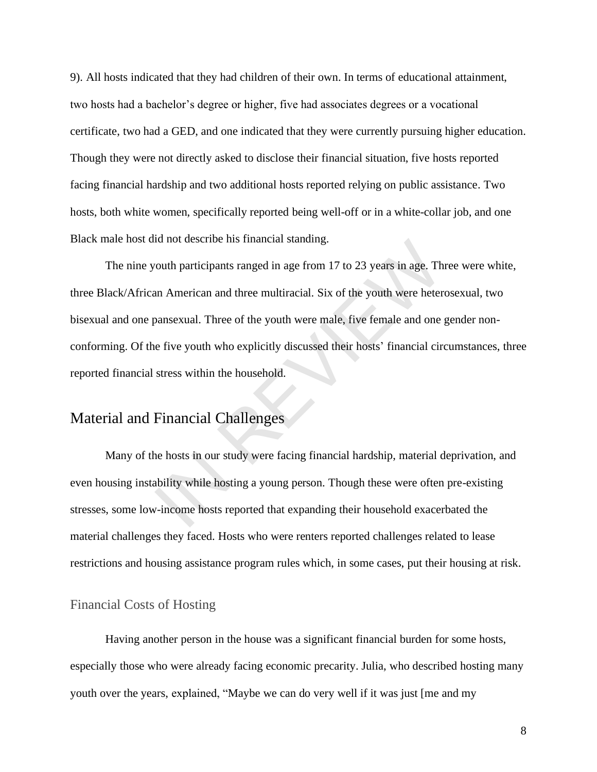9). All hosts indicated that they had children of their own. In terms of educational attainment, two hosts had a bachelor's degree or higher, five had associates degrees or a vocational certificate, two had a GED, and one indicated that they were currently pursuing higher education. Though they were not directly asked to disclose their financial situation, five hosts reported facing financial hardship and two additional hosts reported relying on public assistance. Two hosts, both white women, specifically reported being well-off or in a white-collar job, and one Black male host did not describe his financial standing.

The nine youth participants ranged in age from 17 to 23 years in age. Three were white, three Black/African American and three multiracial. Six of the youth were heterosexual, two bisexual and one pansexual. Three of the youth were male, five female and one gender nonconforming. Of the five youth who explicitly discussed their hosts' financial circumstances, three reported financial stress within the household. France in Sumancial standing.<br>
South participants ranged in age from 17 to 23 years in age. The<br>
nn American and three multiracial. Six of the youth were heter<br>
pansexual. Three of the youth were male, five female and one<br>

### Material and Financial Challenges

Many of the hosts in our study were facing financial hardship, material deprivation, and even housing instability while hosting a young person. Though these were often pre-existing stresses, some low-income hosts reported that expanding their household exacerbated the material challenges they faced. Hosts who were renters reported challenges related to lease restrictions and housing assistance program rules which, in some cases, put their housing at risk.

#### Financial Costs of Hosting

Having another person in the house was a significant financial burden for some hosts, especially those who were already facing economic precarity. Julia, who described hosting many youth over the years, explained, "Maybe we can do very well if it was just [me and my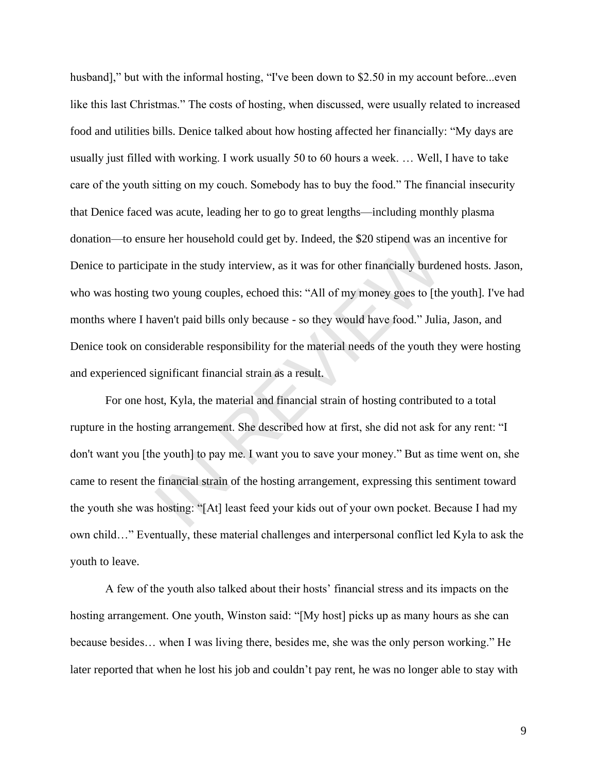husband]," but with the informal hosting, "I've been down to \$2.50 in my account before...even like this last Christmas." The costs of hosting, when discussed, were usually related to increased food and utilities bills. Denice talked about how hosting affected her financially: "My days are usually just filled with working. I work usually 50 to 60 hours a week. … Well, I have to take care of the youth sitting on my couch. Somebody has to buy the food." The financial insecurity that Denice faced was acute, leading her to go to great lengths—including monthly plasma donation—to ensure her household could get by. Indeed, the \$20 stipend was an incentive for Denice to participate in the study interview, as it was for other financially burdened hosts. Jason, who was hosting two young couples, echoed this: "All of my money goes to [the youth]. I've had months where I haven't paid bills only because - so they would have food." Julia, Jason, and Denice took on considerable responsibility for the material needs of the youth they were hosting and experienced significant financial strain as a result. Ire ner nousehold colud get by. Indeed, the \$20 supend was and<br>the in the study interview, as it was for other financially burde<br>wo young couples, echoed this: "All of my money goes to [th<br>wen't paid bills only because - s

For one host, Kyla, the material and financial strain of hosting contributed to a total rupture in the hosting arrangement. She described how at first, she did not ask for any rent: "I don't want you [the youth] to pay me. I want you to save your money." But as time went on, she came to resent the financial strain of the hosting arrangement, expressing this sentiment toward the youth she was hosting: "[At] least feed your kids out of your own pocket. Because I had my own child…" Eventually, these material challenges and interpersonal conflict led Kyla to ask the youth to leave.

A few of the youth also talked about their hosts' financial stress and its impacts on the hosting arrangement. One youth, Winston said: "[My host] picks up as many hours as she can because besides… when I was living there, besides me, she was the only person working." He later reported that when he lost his job and couldn't pay rent, he was no longer able to stay with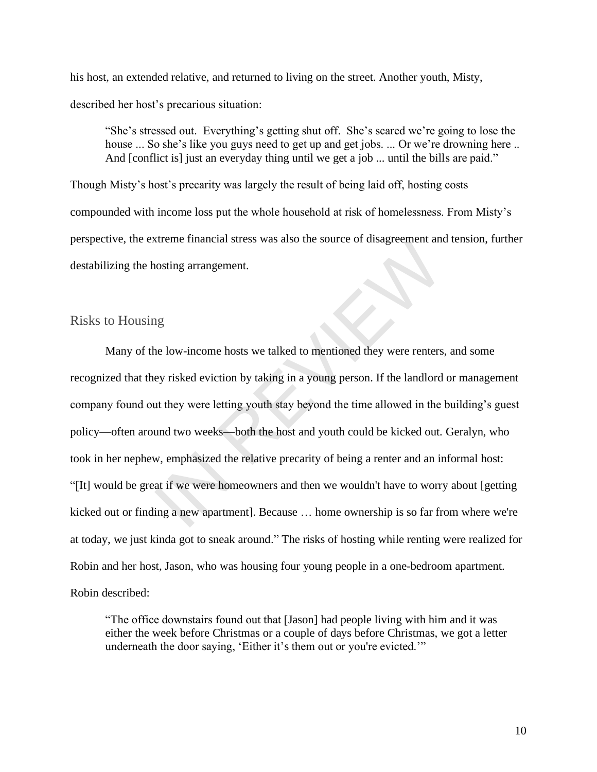his host, an extended relative, and returned to living on the street. Another youth, Misty, described her host's precarious situation:

"She's stressed out. Everything's getting shut off. She's scared we're going to lose the house ... So she's like you guys need to get up and get jobs. ... Or we're drowning here .. And [conflict is] just an everyday thing until we get a job ... until the bills are paid."

Though Misty's host's precarity was largely the result of being laid off, hosting costs compounded with income loss put the whole household at risk of homelessness. From Misty's perspective, the extreme financial stress was also the source of disagreement and tension, further destabilizing the hosting arrangement.

#### Risks to Housing

Many of the low-income hosts we talked to mentioned they were renters, and some recognized that they risked eviction by taking in a young person. If the landlord or management company found out they were letting youth stay beyond the time allowed in the building's guest policy—often around two weeks—both the host and youth could be kicked out. Geralyn, who took in her nephew, emphasized the relative precarity of being a renter and an informal host: "[It] would be great if we were homeowners and then we wouldn't have to worry about [getting kicked out or finding a new apartment]. Because … home ownership is so far from where we're at today, we just kinda got to sneak around." The risks of hosting while renting were realized for Robin and her host, Jason, who was housing four young people in a one-bedroom apartment. Robin described: Extreme infinited stress was also the source of disagreement and<br>nosting arrangement.<br>In a young person. If the landlord<br>at they were letting youth stay beyond the time allowed in the<br>und two weeks—both the host and youth

"The office downstairs found out that [Jason] had people living with him and it was either the week before Christmas or a couple of days before Christmas, we got a letter underneath the door saying, 'Either it's them out or you're evicted.'"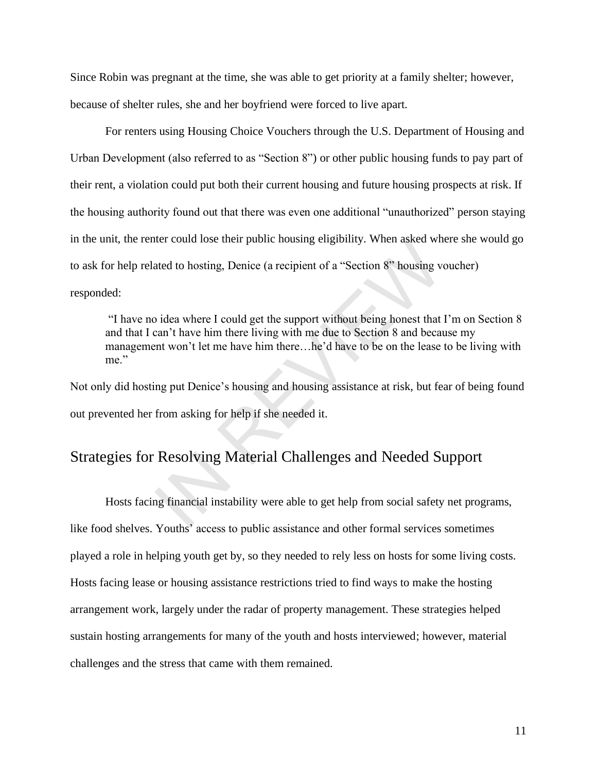Since Robin was pregnant at the time, she was able to get priority at a family shelter; however,

because of shelter rules, she and her boyfriend were forced to live apart.

For renters using Housing Choice Vouchers through the U.S. Department of Housing and Urban Development (also referred to as "Section 8") or other public housing funds to pay part of their rent, a violation could put both their current housing and future housing prospects at risk. If the housing authority found out that there was even one additional "unauthorized" person staying in the unit, the renter could lose their public housing eligibility. When asked where she would go to ask for help related to hosting, Denice (a recipient of a "Section 8" housing voucher) responded: ther could lose their public noising englobinty. When asked where<br>ated to hosting, Denice (a recipient of a "Section 8" housing vo<br>idea where I could get the support without being honest that<br>can't have him there living wi

"I have no idea where I could get the support without being honest that I'm on Section 8 and that I can't have him there living with me due to Section 8 and because my management won't let me have him there…he'd have to be on the lease to be living with me."

Not only did hosting put Denice's housing and housing assistance at risk, but fear of being found out prevented her from asking for help if she needed it.

### Strategies for Resolving Material Challenges and Needed Support

Hosts facing financial instability were able to get help from social safety net programs, like food shelves. Youths' access to public assistance and other formal services sometimes played a role in helping youth get by, so they needed to rely less on hosts for some living costs. Hosts facing lease or housing assistance restrictions tried to find ways to make the hosting arrangement work, largely under the radar of property management. These strategies helped sustain hosting arrangements for many of the youth and hosts interviewed; however, material challenges and the stress that came with them remained.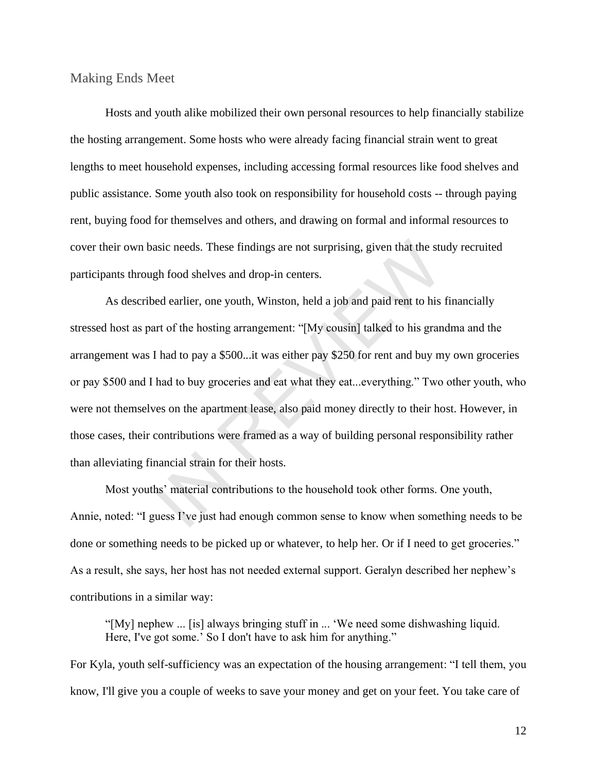Making Ends Meet

Hosts and youth alike mobilized their own personal resources to help financially stabilize the hosting arrangement. Some hosts who were already facing financial strain went to great lengths to meet household expenses, including accessing formal resources like food shelves and public assistance. Some youth also took on responsibility for household costs -- through paying rent, buying food for themselves and others, and drawing on formal and informal resources to cover their own basic needs. These findings are not surprising, given that the study recruited participants through food shelves and drop-in centers.

As described earlier, one youth, Winston, held a job and paid rent to his financially stressed host as part of the hosting arrangement: "[My cousin] talked to his grandma and the arrangement was I had to pay a \$500...it was either pay \$250 for rent and buy my own groceries or pay \$500 and I had to buy groceries and eat what they eat...everything." Two other youth, who were not themselves on the apartment lease, also paid money directly to their host. However, in those cases, their contributions were framed as a way of building personal responsibility rather than alleviating financial strain for their hosts. asic needs. These findings are not surprising, given that the stugh food shelves and drop-in centers.<br>ed earlier, one youth, Winston, held a job and paid rent to his<br>art of the hosting arrangement: "[My cousin] talked to h

Most youths' material contributions to the household took other forms. One youth, Annie, noted: "I guess I've just had enough common sense to know when something needs to be done or something needs to be picked up or whatever, to help her. Or if I need to get groceries." As a result, she says, her host has not needed external support. Geralyn described her nephew's contributions in a similar way:

"[My] nephew ... [is] always bringing stuff in ... 'We need some dishwashing liquid. Here, I've got some.' So I don't have to ask him for anything."

For Kyla, youth self-sufficiency was an expectation of the housing arrangement: "I tell them, you know, I'll give you a couple of weeks to save your money and get on your feet. You take care of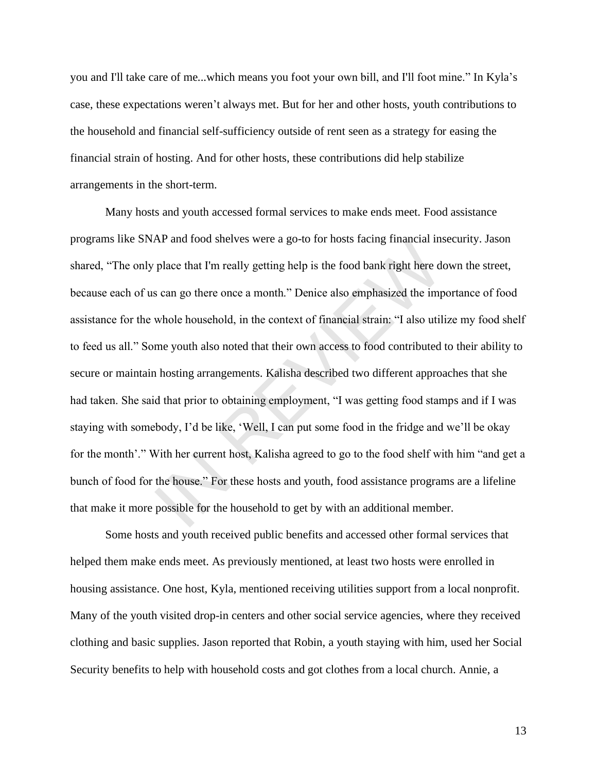you and I'll take care of me...which means you foot your own bill, and I'll foot mine." In Kyla's case, these expectations weren't always met. But for her and other hosts, youth contributions to the household and financial self-sufficiency outside of rent seen as a strategy for easing the financial strain of hosting. And for other hosts, these contributions did help stabilize arrangements in the short-term.

Many hosts and youth accessed formal services to make ends meet. Food assistance programs like SNAP and food shelves were a go-to for hosts facing financial insecurity. Jason shared, "The only place that I'm really getting help is the food bank right here down the street, because each of us can go there once a month." Denice also emphasized the importance of food assistance for the whole household, in the context of financial strain: "I also utilize my food shelf to feed us all." Some youth also noted that their own access to food contributed to their ability to secure or maintain hosting arrangements. Kalisha described two different approaches that she had taken. She said that prior to obtaining employment, "I was getting food stamps and if I was staying with somebody, I'd be like, 'Well, I can put some food in the fridge and we'll be okay for the month'." With her current host, Kalisha agreed to go to the food shelf with him "and get a bunch of food for the house." For these hosts and youth, food assistance programs are a lifeline that make it more possible for the household to get by with an additional member. AP and 100d shelves were a go-to for nosts facing financial ins<br>place that I'm really getting help is the food bank right here do<br>s can go there once a month." Denice also emphasized the imp<br>whole household, in the context

Some hosts and youth received public benefits and accessed other formal services that helped them make ends meet. As previously mentioned, at least two hosts were enrolled in housing assistance. One host, Kyla, mentioned receiving utilities support from a local nonprofit. Many of the youth visited drop-in centers and other social service agencies, where they received clothing and basic supplies. Jason reported that Robin, a youth staying with him, used her Social Security benefits to help with household costs and got clothes from a local church. Annie, a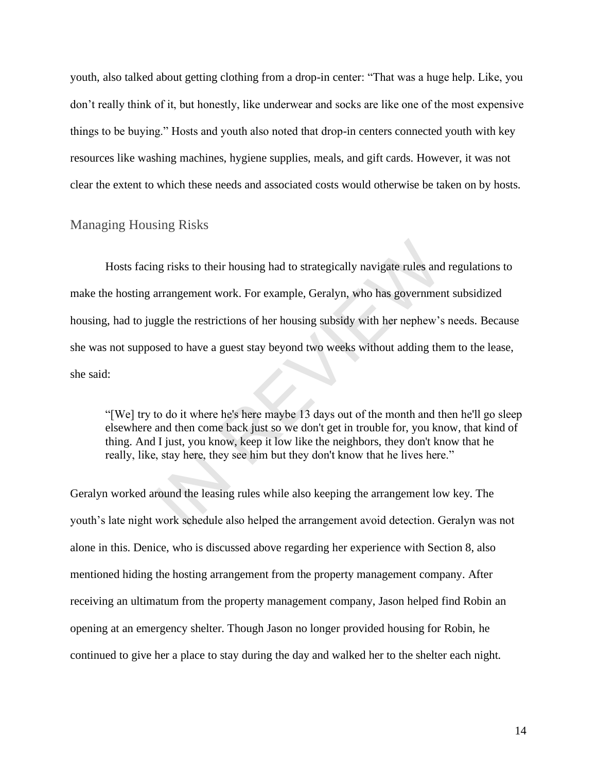youth, also talked about getting clothing from a drop-in center: "That was a huge help. Like, you don't really think of it, but honestly, like underwear and socks are like one of the most expensive things to be buying." Hosts and youth also noted that drop-in centers connected youth with key resources like washing machines, hygiene supplies, meals, and gift cards. However, it was not clear the extent to which these needs and associated costs would otherwise be taken on by hosts.

#### Managing Housing Risks

Hosts facing risks to their housing had to strategically navigate rules and regulations to make the hosting arrangement work. For example, Geralyn, who has government subsidized housing, had to juggle the restrictions of her housing subsidy with her nephew's needs. Because she was not supposed to have a guest stay beyond two weeks without adding them to the lease, she said: ng risks to their housing had to strategically navigate rules and<br>arrangement work. For example, Geralyn, who has governmer<br>ggle the restrictions of her housing subsidy with her nephew's<br>sed to have a guest stay beyond two

"[We] try to do it where he's here maybe 13 days out of the month and then he'll go sleep elsewhere and then come back just so we don't get in trouble for, you know, that kind of thing. And I just, you know, keep it low like the neighbors, they don't know that he really, like, stay here, they see him but they don't know that he lives here."

Geralyn worked around the leasing rules while also keeping the arrangement low key. The youth's late night work schedule also helped the arrangement avoid detection. Geralyn was not alone in this. Denice, who is discussed above regarding her experience with Section 8, also mentioned hiding the hosting arrangement from the property management company. After receiving an ultimatum from the property management company, Jason helped find Robin an opening at an emergency shelter. Though Jason no longer provided housing for Robin, he continued to give her a place to stay during the day and walked her to the shelter each night.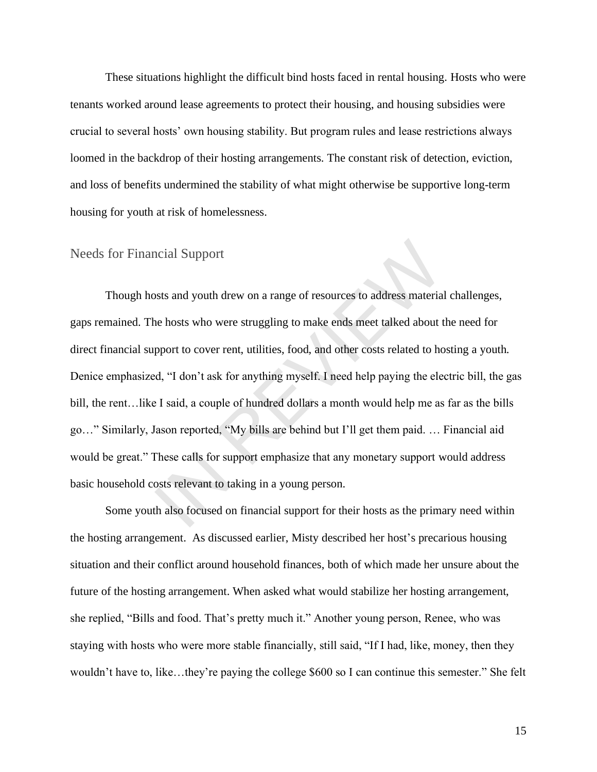These situations highlight the difficult bind hosts faced in rental housing. Hosts who were tenants worked around lease agreements to protect their housing, and housing subsidies were crucial to several hosts' own housing stability. But program rules and lease restrictions always loomed in the backdrop of their hosting arrangements. The constant risk of detection, eviction, and loss of benefits undermined the stability of what might otherwise be supportive long-term housing for youth at risk of homelessness.

#### Needs for Financial Support

Though hosts and youth drew on a range of resources to address material challenges, gaps remained. The hosts who were struggling to make ends meet talked about the need for direct financial support to cover rent, utilities, food, and other costs related to hosting a youth. Denice emphasized, "I don't ask for anything myself. I need help paying the electric bill, the gas bill, the rent…like I said, a couple of hundred dollars a month would help me as far as the bills go…" Similarly, Jason reported, "My bills are behind but I'll get them paid. … Financial aid would be great." These calls for support emphasize that any monetary support would address basic household costs relevant to taking in a young person. ncial Support<br>sts and youth drew on a range of resources to address materia<br>e hosts who were struggling to make ends meet talked about t<br>pport to cover rent, utilities, food, and other costs related to hc<br>d, "I don't ask f

Some youth also focused on financial support for their hosts as the primary need within the hosting arrangement. As discussed earlier, Misty described her host's precarious housing situation and their conflict around household finances, both of which made her unsure about the future of the hosting arrangement. When asked what would stabilize her hosting arrangement, she replied, "Bills and food. That's pretty much it." Another young person, Renee, who was staying with hosts who were more stable financially, still said, "If I had, like, money, then they wouldn't have to, like…they're paying the college \$600 so I can continue this semester." She felt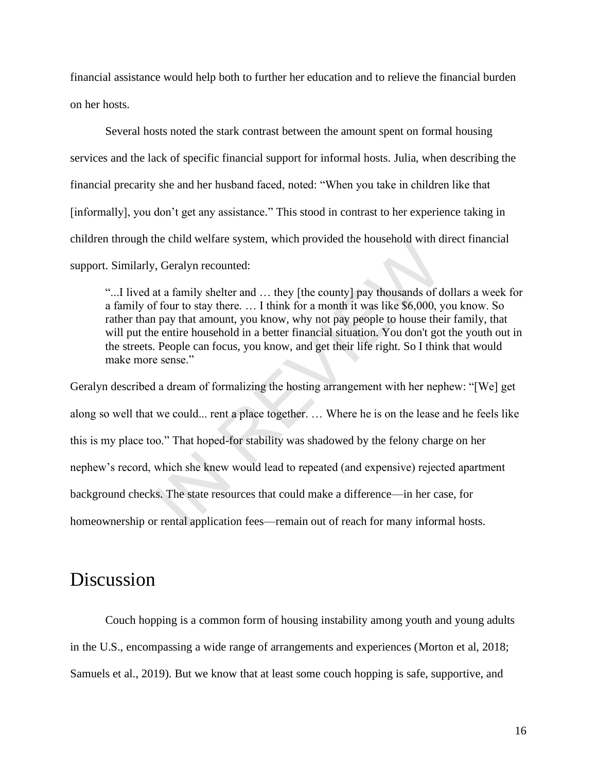financial assistance would help both to further her education and to relieve the financial burden on her hosts.

Several hosts noted the stark contrast between the amount spent on formal housing services and the lack of specific financial support for informal hosts. Julia, when describing the financial precarity she and her husband faced, noted: "When you take in children like that [informally], you don't get any assistance." This stood in contrast to her experience taking in children through the child welfare system, which provided the household with direct financial support. Similarly, Geralyn recounted:

"...I lived at a family shelter and … they [the county] pay thousands of dollars a week for a family of four to stay there. … I think for a month it was like \$6,000, you know. So rather than pay that amount, you know, why not pay people to house their family, that will put the entire household in a better financial situation. You don't got the youth out in the streets. People can focus, you know, and get their life right. So I think that would make more sense."

Geralyn described a dream of formalizing the hosting arrangement with her nephew: "[We] get along so well that we could... rent a place together. … Where he is on the lease and he feels like this is my place too." That hoped-for stability was shadowed by the felony charge on her nephew's record, which she knew would lead to repeated (and expensive) rejected apartment background checks. The state resources that could make a difference—in her case, for homeownership or rental application fees—remain out of reach for many informal hosts. ne child wellare system, which provided the household with d<br>
1. Geralyn recounted:<br>
at a family shelter and ... they [the county] pay thousands of d<br>
f four to stay there. ... I think for a month it was like \$6,000, y<br>
pa

## Discussion

Couch hopping is a common form of housing instability among youth and young adults in the U.S., encompassing a wide range of arrangements and experiences (Morton et al, 2018; Samuels et al., 2019). But we know that at least some couch hopping is safe, supportive, and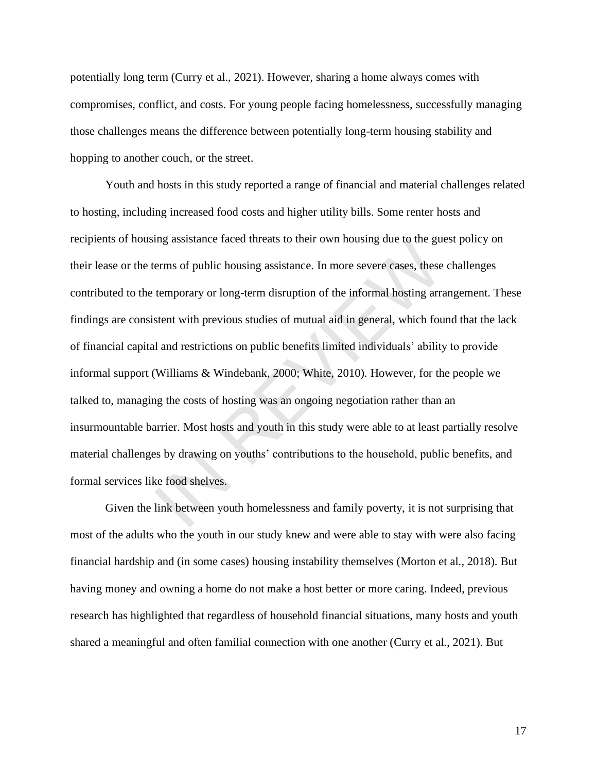potentially long term (Curry et al., 2021). However, sharing a home always comes with compromises, conflict, and costs. For young people facing homelessness, successfully managing those challenges means the difference between potentially long-term housing stability and hopping to another couch, or the street.

Youth and hosts in this study reported a range of financial and material challenges related to hosting, including increased food costs and higher utility bills. Some renter hosts and recipients of housing assistance faced threats to their own housing due to the guest policy on their lease or the terms of public housing assistance. In more severe cases, these challenges contributed to the temporary or long-term disruption of the informal hosting arrangement. These findings are consistent with previous studies of mutual aid in general, which found that the lack of financial capital and restrictions on public benefits limited individuals' ability to provide informal support (Williams & Windebank, 2000; White, 2010). However, for the people we talked to, managing the costs of hosting was an ongoing negotiation rather than an insurmountable barrier. Most hosts and youth in this study were able to at least partially resolve material challenges by drawing on youths' contributions to the household, public benefits, and formal services like food shelves. Ing assistance raced threats to their own housing due to the guerms of public housing assistance. In more severe cases, these<br>temporary or long-term disruption of the informal hosting arratent with previous studies of mutu

Given the link between youth homelessness and family poverty, it is not surprising that most of the adults who the youth in our study knew and were able to stay with were also facing financial hardship and (in some cases) housing instability themselves (Morton et al., 2018). But having money and owning a home do not make a host better or more caring. Indeed, previous research has highlighted that regardless of household financial situations, many hosts and youth shared a meaningful and often familial connection with one another (Curry et al., 2021). But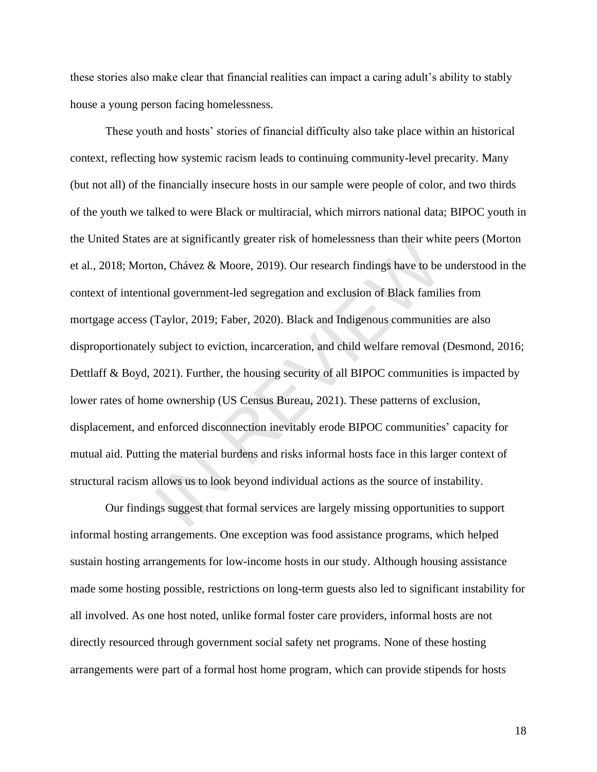these stories also make clear that financial realities can impact a caring adult's ability to stably house a young person facing homelessness.

These youth and hosts' stories of financial difficulty also take place within an historical context, reflecting how systemic racism leads to continuing community-level precarity. Many (but not all) of the financially insecure hosts in our sample were people of color, and two thirds of the youth we talked to were Black or multiracial, which mirrors national data; BIPOC youth in the United States are at significantly greater risk of homelessness than their white peers (Morton et al., 2018; Morton, Chávez & Moore, 2019). Our research findings have to be understood in the context of intentional government-led segregation and exclusion of Black families from mortgage access (Taylor, 2019; Faber, 2020). Black and Indigenous communities are also disproportionately subject to eviction, incarceration, and child welfare removal (Desmond, 2016; Dettlaff & Boyd, 2021). Further, the housing security of all BIPOC communities is impacted by lower rates of home ownership (US Census Bureau, 2021). These patterns of exclusion, displacement, and enforced disconnection inevitably erode BIPOC communities' capacity for mutual aid. Putting the material burdens and risks informal hosts face in this larger context of structural racism allows us to look beyond individual actions as the source of instability. are at sigminizativy greater risk of nomenessiess than their window.<br>Chávez & Moore, 2019). Our research findings have to be<br>not government-led segregation and exclusion of Black famili<br>Taylor, 2019; Faber, 2020). Black an

Our findings suggest that formal services are largely missing opportunities to support informal hosting arrangements. One exception was food assistance programs, which helped sustain hosting arrangements for low-income hosts in our study. Although housing assistance made some hosting possible, restrictions on long-term guests also led to significant instability for all involved. As one host noted, unlike formal foster care providers, informal hosts are not directly resourced through government social safety net programs. None of these hosting arrangements were part of a formal host home program, which can provide stipends for hosts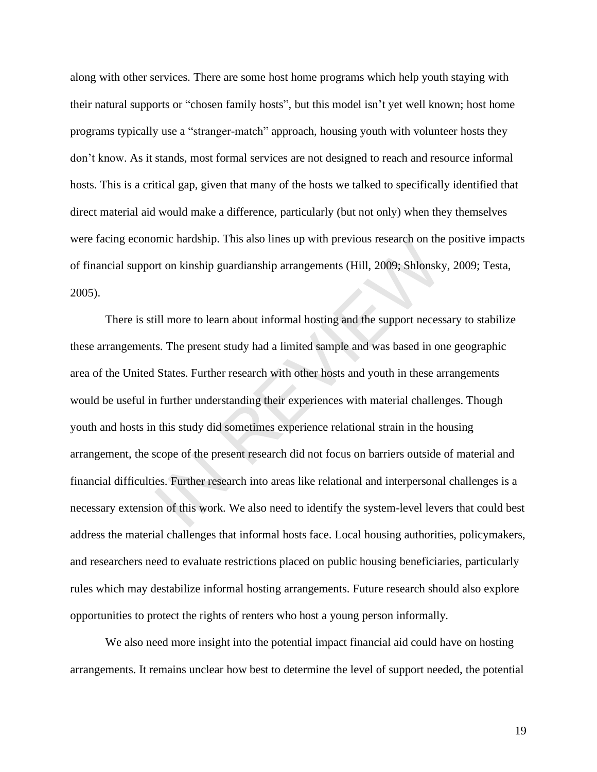along with other services. There are some host home programs which help youth staying with their natural supports or "chosen family hosts", but this model isn't yet well known; host home programs typically use a "stranger-match" approach, housing youth with volunteer hosts they don't know. As it stands, most formal services are not designed to reach and resource informal hosts. This is a critical gap, given that many of the hosts we talked to specifically identified that direct material aid would make a difference, particularly (but not only) when they themselves were facing economic hardship. This also lines up with previous research on the positive impacts of financial support on kinship guardianship arrangements (Hill, 2009; Shlonsky, 2009; Testa, 2005).

There is still more to learn about informal hosting and the support necessary to stabilize these arrangements. The present study had a limited sample and was based in one geographic area of the United States. Further research with other hosts and youth in these arrangements would be useful in further understanding their experiences with material challenges. Though youth and hosts in this study did sometimes experience relational strain in the housing arrangement, the scope of the present research did not focus on barriers outside of material and financial difficulties. Further research into areas like relational and interpersonal challenges is a necessary extension of this work. We also need to identify the system-level levers that could best address the material challenges that informal hosts face. Local housing authorities, policymakers, and researchers need to evaluate restrictions placed on public housing beneficiaries, particularly rules which may destabilize informal hosting arrangements. Future research should also explore opportunities to protect the rights of renters who host a young person informally. From the narasinp. This also lines up with previous research on the set on kinship guardianship arrangements (Hill, 2009; Shlonsky<br>Ill more to learn about informal hosting and the support necess<br>s. The present study had a

We also need more insight into the potential impact financial aid could have on hosting arrangements. It remains unclear how best to determine the level of support needed, the potential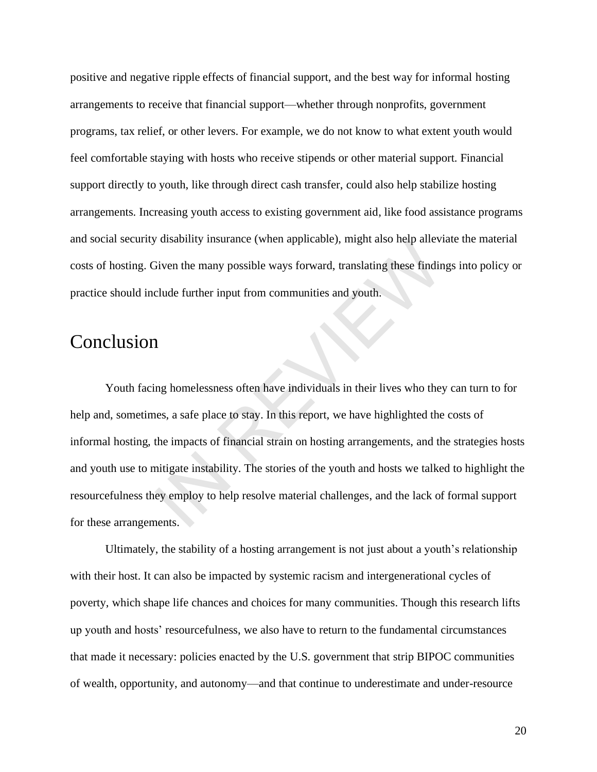positive and negative ripple effects of financial support, and the best way for informal hosting arrangements to receive that financial support—whether through nonprofits, government programs, tax relief, or other levers. For example, we do not know to what extent youth would feel comfortable staying with hosts who receive stipends or other material support. Financial support directly to youth, like through direct cash transfer, could also help stabilize hosting arrangements. Increasing youth access to existing government aid, like food assistance programs and social security disability insurance (when applicable), might also help alleviate the material costs of hosting. Given the many possible ways forward, translating these findings into policy or practice should include further input from communities and youth.

## Conclusion

Youth facing homelessness often have individuals in their lives who they can turn to for help and, sometimes, a safe place to stay. In this report, we have highlighted the costs of informal hosting, the impacts of financial strain on hosting arrangements, and the strategies hosts and youth use to mitigate instability. The stories of the youth and hosts we talked to highlight the resourcefulness they employ to help resolve material challenges, and the lack of formal support for these arrangements. IN REVIEW

Ultimately, the stability of a hosting arrangement is not just about a youth's relationship with their host. It can also be impacted by systemic racism and intergenerational cycles of poverty, which shape life chances and choices for many communities. Though this research lifts up youth and hosts' resourcefulness, we also have to return to the fundamental circumstances that made it necessary: policies enacted by the U.S. government that strip BIPOC communities of wealth, opportunity, and autonomy—and that continue to underestimate and under-resource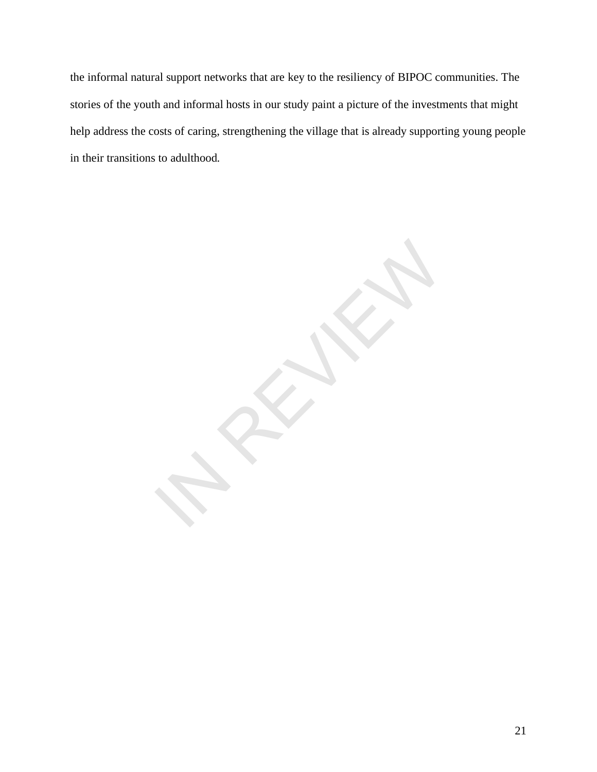the informal natural support networks that are key to the resiliency of BIPOC communities. The stories of the youth and informal hosts in our study paint a picture of the investments that might help address the costs of caring, strengthening the village that is already supporting young people in their transitions to adulthood.

**IN REVIEW**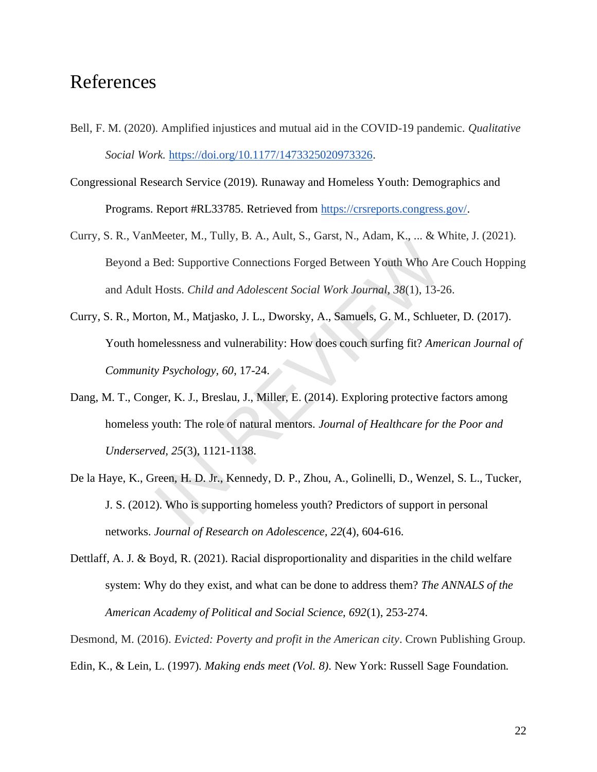## References

- Bell, F. M. (2020). Amplified injustices and mutual aid in the COVID-19 pandemic. *Qualitative Social Work.* [https://doi.org/10.1177/1473325020973326.](https://doi.org/10.1177/1473325020973326)
- Congressional Research Service (2019). Runaway and Homeless Youth: Demographics and Programs. Report #RL33785. Retrieved fro[m](https://crsreports.congress.gov/) [https://crsreports.congress.gov/.](https://crsreports.congress.gov/)
- Curry, S. R., VanMeeter, M., Tully, B. A., Ault, S., Garst, N., Adam, K., ... & White, J. (2021). Beyond a Bed: Supportive Connections Forged Between Youth Who Are Couch Hopping and Adult Hosts. *Child and Adolescent Social Work Journal, 38*(1), 13-26.
- Curry, S. R., Morton, M., Matjasko, J. L., Dworsky, A., Samuels, G. M., Schlueter, D. (2017). Youth homelessness and vulnerability: How does couch surfing fit? *American Journal of Community Psychology, 60*, 17-24. Heeler, *m.*, rang, *B.* rang, *B.* rang, *B.* rang, *n.*, rang, *n.*, rang, *n.*, rang, *n.*, *n.* and *No Ar*<br>Hosts. *Child and Adolescent Social Work Journal*, 38(1), 13-2<br>con, M., Matjasko, J. L., Dworsky, A., Samuels,
- Dang, M. T., Conger, K. J., Breslau, J., Miller, E. (2014). Exploring protective factors among homeless youth: The role of natural mentors. *Journal of Healthcare for the Poor and Underserved, 25*(3), 1121-1138.
- De la Haye, K., Green, H. D. Jr., Kennedy, D. P., Zhou, A., Golinelli, D., Wenzel, S. L., Tucker, J. S. (2012). Who is supporting homeless youth? Predictors of support in personal networks. *Journal of Research on Adolescence, 22*(4), 604-616.
- Dettlaff, A. J. & Boyd, R. (2021). Racial disproportionality and disparities in the child welfare system: Why do they exist, and what can be done to address them? *The ANNALS of the American Academy of Political and Social Science, 692*(1), 253-274.

Desmond, M. (2016). *Evicted: Poverty and profit in the American city*. Crown Publishing Group. Edin, K., & Lein, L. (1997). *Making ends meet (Vol. 8)*. New York: Russell Sage Foundation.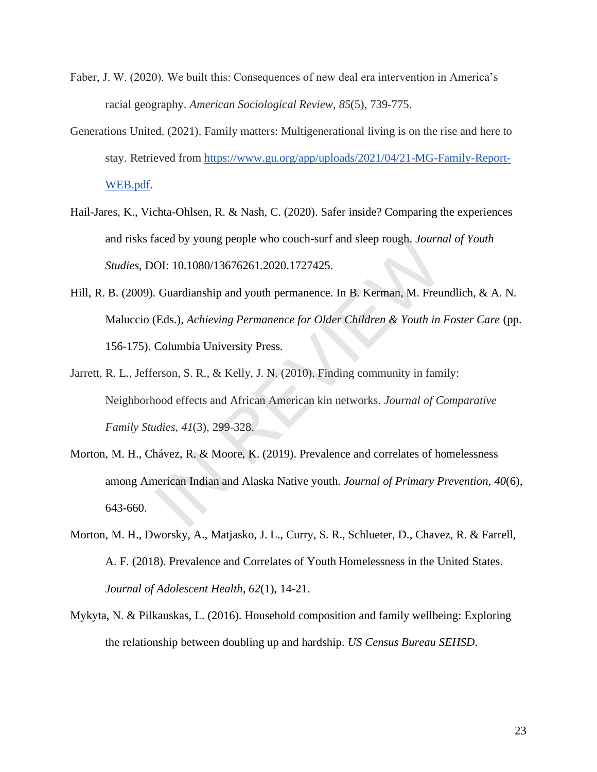- Faber, J. W. (2020). We built this: Consequences of new deal era intervention in America's racial geography. *American Sociological Review*, *85*(5), 739-775.
- Generations United. (2021). Family matters: Multigenerational living is on the rise and here to stay. Retrieved from [https://www.gu.org/app/uploads/2021/04/21-MG-Family-Report-](https://www.gu.org/app/uploads/2021/04/21-MG-Family-Report-WEB.pdf)[WEB.pdf.](https://www.gu.org/app/uploads/2021/04/21-MG-Family-Report-WEB.pdf)
- Hail-Jares, K., Vichta-Ohlsen, R. & Nash, C. (2020). Safer inside? Comparing the experiences and risks faced by young people who couch-surf and sleep rough. *Journal of Youth Studies*, DOI: 10.1080/13676261.2020.1727425.
- Hill, R. B. (2009). Guardianship and youth permanence. In B. Kerman, M. Freundlich, & A. N. Maluccio (Eds.), *Achieving Permanence for Older Children & Youth in Foster Care* (pp. 156-175). Columbia University Press.
- Jarrett, R. L., Jefferson, S. R., & Kelly, J. N. (2010). Finding community in family: Neighborhood effects and African American kin networks. *Journal of Comparative Family Studies*, *41*(3), 299-328. acea by young people who couch-surf and steep rough. Journal<br>OI: 10.1080/13676261.2020.1727425.<br>Guardianship and youth permanence. In B. Kerman, M. Freu<br>(Eds.), *Achieving Permanence for Older Children & Youth in*<br>Columbia
- Morton, M. H., Chávez, R. & Moore, K. (2019). Prevalence and correlates of homelessness among American Indian and Alaska Native youth. *Journal of Primary Prevention, 40*(6), 643-660.
- Morton, M. H., Dworsky, A., Matjasko, J. L., Curry, S. R., Schlueter, D., Chavez, R. & Farrell, A. F. (2018). Prevalence and Correlates of Youth Homelessness in the United States. *Journal of Adolescent Health, 62*(1), 14-21.
- Mykyta, N. & Pilkauskas, L. (2016). Household composition and family wellbeing: Exploring the relationship between doubling up and hardship. *US Census Bureau SEHSD*.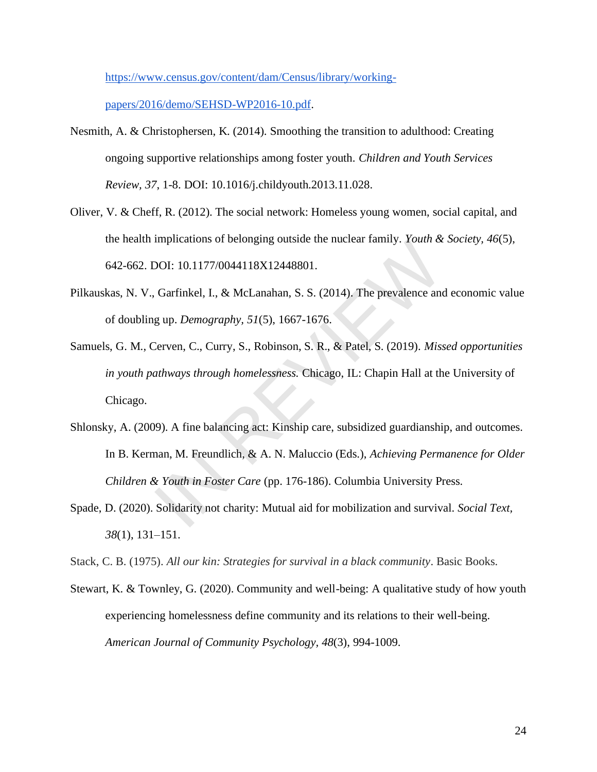[https://www.census.gov/content/dam/Census/library/working-](https://www.census.gov/content/dam/Census/library/working-papers/2016/demo/SEHSD-WP2016-10.pdf)

[papers/2016/demo/SEHSD-WP2016-10.pdf.](https://www.census.gov/content/dam/Census/library/working-papers/2016/demo/SEHSD-WP2016-10.pdf)

- Nesmith, A. & Christophersen, K. (2014). Smoothing the transition to adulthood: Creating ongoing supportive relationships among foster youth. *Children and Youth Services Review, 37*, 1-8. DOI: 10.1016/j.childyouth.2013.11.028.
- Oliver, V. & Cheff, R. (2012). The social network: Homeless young women, social capital, and the health implications of belonging outside the nuclear family. *Youth & Society, 46*(5), 642-662. DOI: 10.1177/0044118X12448801.
- Pilkauskas, N. V., Garfinkel, I., & McLanahan, S. S. (2014). The prevalence and economic value of doubling up. *Demography, 51*(5), 1667-1676.
- Samuels, G. M., Cerven, C., Curry, S., Robinson, S. R., & Patel, S. (2019). *Missed opportunities in youth pathways through homelessness.* Chicago, IL: Chapin Hall at the University of Chicago. Impireations of belonging outside the nuclear family. Fourn &<br>DOI: 10.1177/0044118X12448801.<br>Garfinkel, I., & McLanahan, S. S. (2014). The prevalence and<br>g up. *Demography*, 51(5), 1667-1676.<br>Cerven, C., Curry, S., Robinso
- Shlonsky, A. (2009). A fine balancing act: Kinship care, subsidized guardianship, and outcomes. In B. Kerman, M. Freundlich, & A. N. Maluccio (Eds.), *Achieving Permanence for Older Children & Youth in Foster Care* (pp. 176-186). Columbia University Press.
- Spade, D. (2020). Solidarity not charity: Mutual aid for mobilization and survival. *Social Text, 38*(1), 131–151.

Stack, C. B. (1975). *All our kin: Strategies for survival in a black community*. Basic Books.

Stewart, K. & Townley, G. (2020). Community and well-being: A qualitative study of how youth experiencing homelessness define community and its relations to their well-being. *American Journal of Community Psychology, 48*(3), 994-1009.